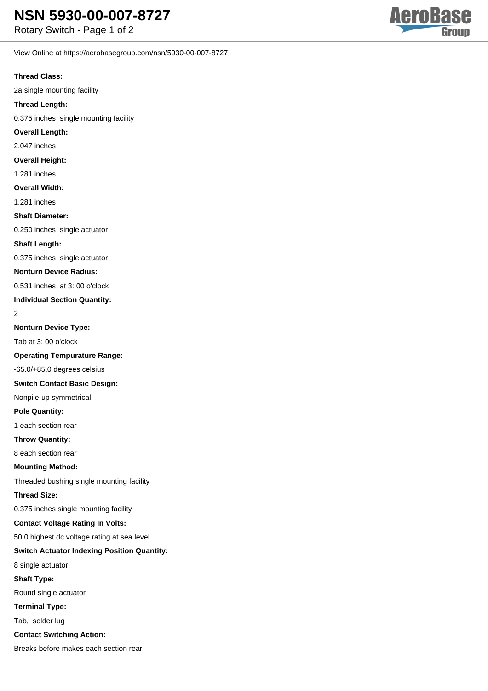View Online at https://aerobasegroup.com/nsn/5930-00-007-8727

## **Thread Class:**

2a single mounting facility

## **Thread Length:**

0.375 inches single mounting facility

**Overall Length:**

## 2.047 inches

**Overall Height:**

## 1.281 inches

**Overall Width:**

1.281 inches

#### **Shaft Diameter:**

0.250 inches single actuator

#### **Shaft Length:**

0.375 inches single actuator

#### **Nonturn Device Radius:**

0.531 inches at 3: 00 o'clock

#### **Individual Section Quantity:**

2

#### **Nonturn Device Type:**

Tab at 3: 00 o'clock

#### **Operating Tempurature Range:**

-65.0/+85.0 degrees celsius

#### **Switch Contact Basic Design:**

Nonpile-up symmetrical

## **Pole Quantity:**

1 each section rear

## **Throw Quantity:**

8 each section rear

#### **Mounting Method:**

Threaded bushing single mounting facility

#### **Thread Size:**

0.375 inches single mounting facility

## **Contact Voltage Rating In Volts:**

50.0 highest dc voltage rating at sea level

## **Switch Actuator Indexing Position Quantity:**

8 single actuator

## **Shaft Type:**

Round single actuator

## **Terminal Type:**

Tab, solder lug

## **Contact Switching Action:**

Breaks before makes each section rear